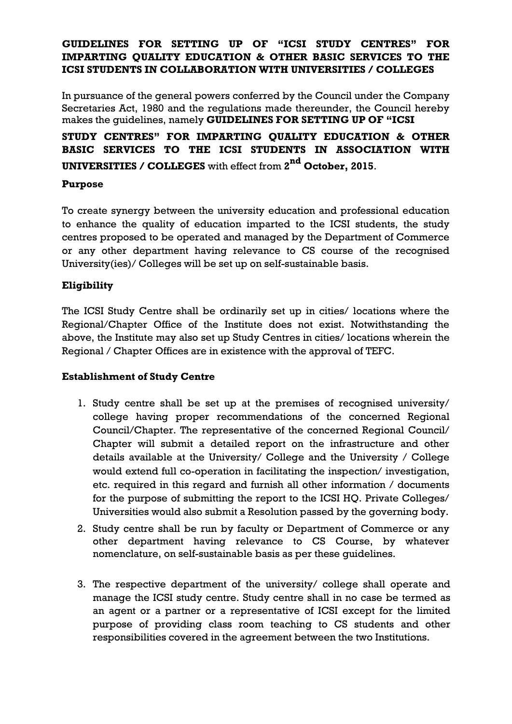## **GUIDELINES FOR SETTING UP OF "ICSI STUDY CENTRES" FOR IMPARTING QUALITY EDUCATION & OTHER BASIC SERVICES TO THE ICSI STUDENTS IN COLLABORATION WITH UNIVERSITIES / COLLEGES**

In pursuance of the general powers conferred by the Council under the Company Secretaries Act, 1980 and the regulations made thereunder, the Council hereby makes the guidelines, namely **GUIDELINES FOR SETTING UP OF "ICSI**

**STUDY CENTRES" FOR IMPARTING QUALITY EDUCATION & OTHER BASIC SERVICES TO THE ICSI STUDENTS IN ASSOCIATION WITH UNIVERSITIES / COLLEGES** with effect from **2 nd October, 2015**.

## **Purpose**

To create synergy between the university education and professional education to enhance the quality of education imparted to the ICSI students, the study centres proposed to be operated and managed by the Department of Commerce or any other department having relevance to CS course of the recognised University(ies)/ Colleges will be set up on self-sustainable basis.

## **Eligibility**

The ICSI Study Centre shall be ordinarily set up in cities/ locations where the Regional/Chapter Office of the Institute does not exist. Notwithstanding the above, the Institute may also set up Study Centres in cities/ locations wherein the Regional / Chapter Offices are in existence with the approval of TEFC.

### **Establishment of Study Centre**

- 1. Study centre shall be set up at the premises of recognised university/ college having proper recommendations of the concerned Regional Council/Chapter. The representative of the concerned Regional Council/ Chapter will submit a detailed report on the infrastructure and other details available at the University/ College and the University / College would extend full co-operation in facilitating the inspection/ investigation, etc. required in this regard and furnish all other information / documents for the purpose of submitting the report to the ICSI HQ. Private Colleges/ Universities would also submit a Resolution passed by the governing body.
- 2. Study centre shall be run by faculty or Department of Commerce or any other department having relevance to CS Course, by whatever nomenclature, on self-sustainable basis as per these guidelines.
- 3. The respective department of the university/ college shall operate and manage the ICSI study centre. Study centre shall in no case be termed as an agent or a partner or a representative of ICSI except for the limited purpose of providing class room teaching to CS students and other responsibilities covered in the agreement between the two Institutions.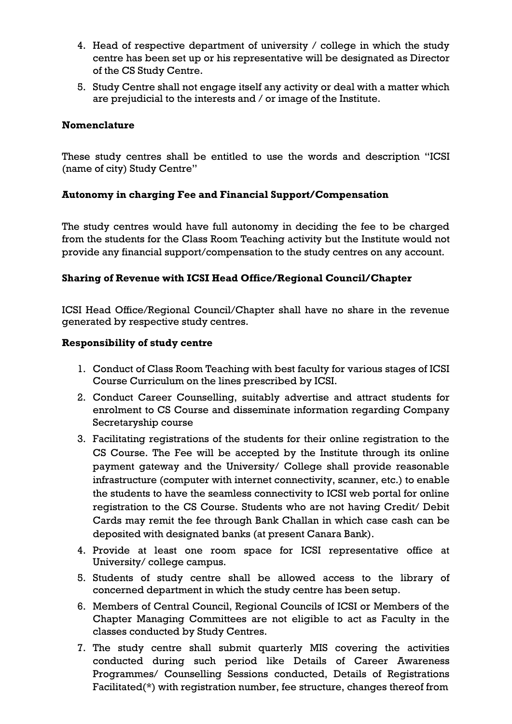- 4. Head of respective department of university / college in which the study centre has been set up or his representative will be designated as Director of the CS Study Centre.
- 5. Study Centre shall not engage itself any activity or deal with a matter which are prejudicial to the interests and / or image of the Institute.

## **Nomenclature**

These study centres shall be entitled to use the words and description "ICSI (name of city) Study Centre"

## **Autonomy in charging Fee and Financial Support/Compensation**

The study centres would have full autonomy in deciding the fee to be charged from the students for the Class Room Teaching activity but the Institute would not provide any financial support/compensation to the study centres on any account.

## **Sharing of Revenue with ICSI Head Office/Regional Council/Chapter**

ICSI Head Office/Regional Council/Chapter shall have no share in the revenue generated by respective study centres.

### **Responsibility of study centre**

- 1. Conduct of Class Room Teaching with best faculty for various stages of ICSI Course Curriculum on the lines prescribed by ICSI.
- 2. Conduct Career Counselling, suitably advertise and attract students for enrolment to CS Course and disseminate information regarding Company Secretaryship course
- 3. Facilitating registrations of the students for their online registration to the CS Course. The Fee will be accepted by the Institute through its online payment gateway and the University/ College shall provide reasonable infrastructure (computer with internet connectivity, scanner, etc.) to enable the students to have the seamless connectivity to ICSI web portal for online registration to the CS Course. Students who are not having Credit/ Debit Cards may remit the fee through Bank Challan in which case cash can be deposited with designated banks (at present Canara Bank).
- 4. Provide at least one room space for ICSI representative office at University/ college campus.
- 5. Students of study centre shall be allowed access to the library of concerned department in which the study centre has been setup.
- 6. Members of Central Council, Regional Councils of ICSI or Members of the Chapter Managing Committees are not eligible to act as Faculty in the classes conducted by Study Centres.
- 7. The study centre shall submit quarterly MIS covering the activities conducted during such period like Details of Career Awareness Programmes/ Counselling Sessions conducted, Details of Registrations Facilitated(\*) with registration number, fee structure, changes thereof from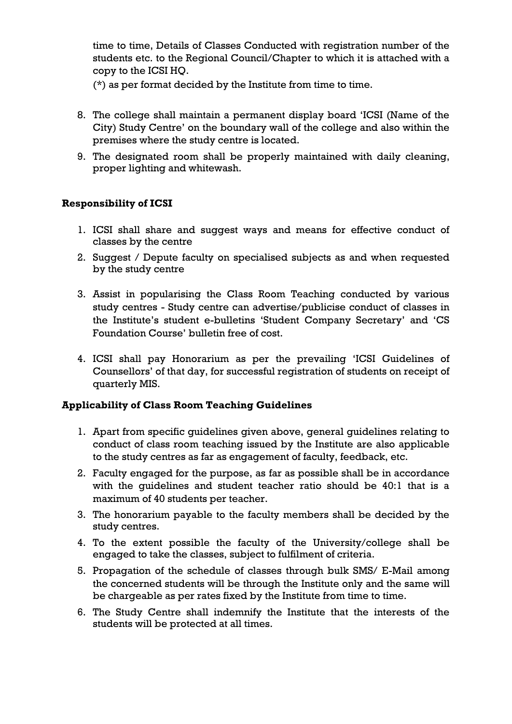time to time, Details of Classes Conducted with registration number of the students etc. to the Regional Council/Chapter to which it is attached with a copy to the ICSI HQ.

(\*) as per format decided by the Institute from time to time.

- 8. The college shall maintain a permanent display board "ICSI (Name of the City) Study Centre" on the boundary wall of the college and also within the premises where the study centre is located.
- 9. The designated room shall be properly maintained with daily cleaning, proper lighting and whitewash.

## **Responsibility of ICSI**

- 1. ICSI shall share and suggest ways and means for effective conduct of classes by the centre
- 2. Suggest / Depute faculty on specialised subjects as and when requested by the study centre
- 3. Assist in popularising the Class Room Teaching conducted by various study centres - Study centre can advertise/publicise conduct of classes in the Institute"s student e-bulletins "Student Company Secretary" and "CS Foundation Course" bulletin free of cost.
- 4. ICSI shall pay Honorarium as per the prevailing "ICSI Guidelines of Counsellors" of that day, for successful registration of students on receipt of quarterly MIS.

### **Applicability of Class Room Teaching Guidelines**

- 1. Apart from specific guidelines given above, general guidelines relating to conduct of class room teaching issued by the Institute are also applicable to the study centres as far as engagement of faculty, feedback, etc.
- 2. Faculty engaged for the purpose, as far as possible shall be in accordance with the guidelines and student teacher ratio should be 40:1 that is a maximum of 40 students per teacher.
- 3. The honorarium payable to the faculty members shall be decided by the study centres.
- 4. To the extent possible the faculty of the University/college shall be engaged to take the classes, subject to fulfilment of criteria.
- 5. Propagation of the schedule of classes through bulk SMS/ E-Mail among the concerned students will be through the Institute only and the same will be chargeable as per rates fixed by the Institute from time to time.
- 6. The Study Centre shall indemnify the Institute that the interests of the students will be protected at all times.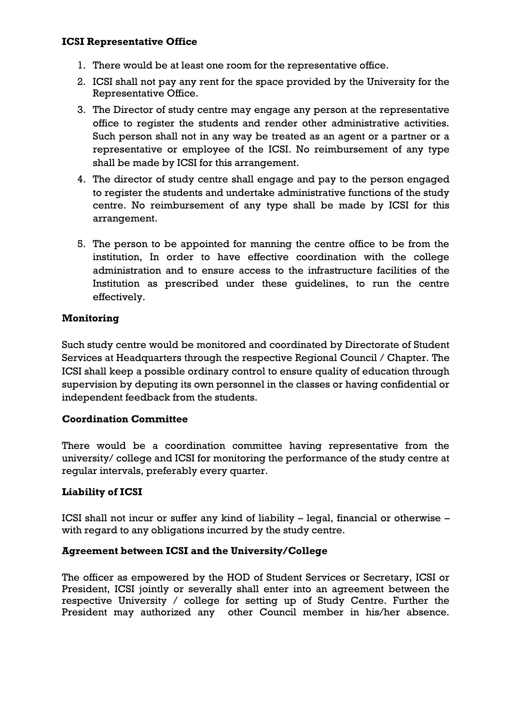#### **ICSI Representative Office**

- 1. There would be at least one room for the representative office.
- 2. ICSI shall not pay any rent for the space provided by the University for the Representative Office.
- 3. The Director of study centre may engage any person at the representative office to register the students and render other administrative activities. Such person shall not in any way be treated as an agent or a partner or a representative or employee of the ICSI. No reimbursement of any type shall be made by ICSI for this arrangement.
- 4. The director of study centre shall engage and pay to the person engaged to register the students and undertake administrative functions of the study centre. No reimbursement of any type shall be made by ICSI for this arrangement.
- 5. The person to be appointed for manning the centre office to be from the institution, In order to have effective coordination with the college administration and to ensure access to the infrastructure facilities of the Institution as prescribed under these guidelines, to run the centre effectively.

### **Monitoring**

Such study centre would be monitored and coordinated by Directorate of Student Services at Headquarters through the respective Regional Council / Chapter. The ICSI shall keep a possible ordinary control to ensure quality of education through supervision by deputing its own personnel in the classes or having confidential or independent feedback from the students.

### **Coordination Committee**

There would be a coordination committee having representative from the university/ college and ICSI for monitoring the performance of the study centre at regular intervals, preferably every quarter.

### **Liability of ICSI**

ICSI shall not incur or suffer any kind of liability  $-$  legal, financial or otherwise  $$ with regard to any obligations incurred by the study centre.

#### **Agreement between ICSI and the University/College**

The officer as empowered by the HOD of Student Services or Secretary, ICSI or President, ICSI jointly or severally shall enter into an agreement between the respective University / college for setting up of Study Centre. Further the President may authorized any other Council member in his/her absence.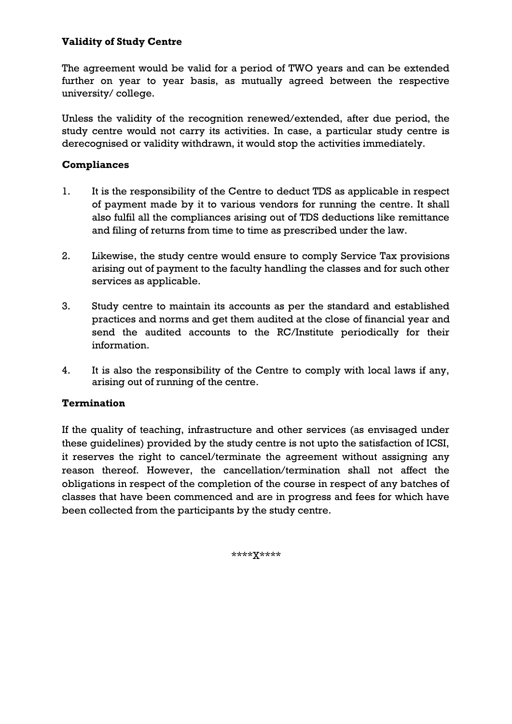## **Validity of Study Centre**

The agreement would be valid for a period of TWO years and can be extended further on year to year basis, as mutually agreed between the respective university/ college.

Unless the validity of the recognition renewed/extended, after due period, the study centre would not carry its activities. In case, a particular study centre is derecognised or validity withdrawn, it would stop the activities immediately.

## **Compliances**

- 1. It is the responsibility of the Centre to deduct TDS as applicable in respect of payment made by it to various vendors for running the centre. It shall also fulfil all the compliances arising out of TDS deductions like remittance and filing of returns from time to time as prescribed under the law.
- 2. Likewise, the study centre would ensure to comply Service Tax provisions arising out of payment to the faculty handling the classes and for such other services as applicable.
- 3. Study centre to maintain its accounts as per the standard and established practices and norms and get them audited at the close of financial year and send the audited accounts to the RC/Institute periodically for their information.
- 4. It is also the responsibility of the Centre to comply with local laws if any, arising out of running of the centre.

### **Termination**

If the quality of teaching, infrastructure and other services (as envisaged under these guidelines) provided by the study centre is not upto the satisfaction of ICSI, it reserves the right to cancel/terminate the agreement without assigning any reason thereof. However, the cancellation/termination shall not affect the obligations in respect of the completion of the course in respect of any batches of classes that have been commenced and are in progress and fees for which have been collected from the participants by the study centre.

\*\*\*\*X\*\*\*\*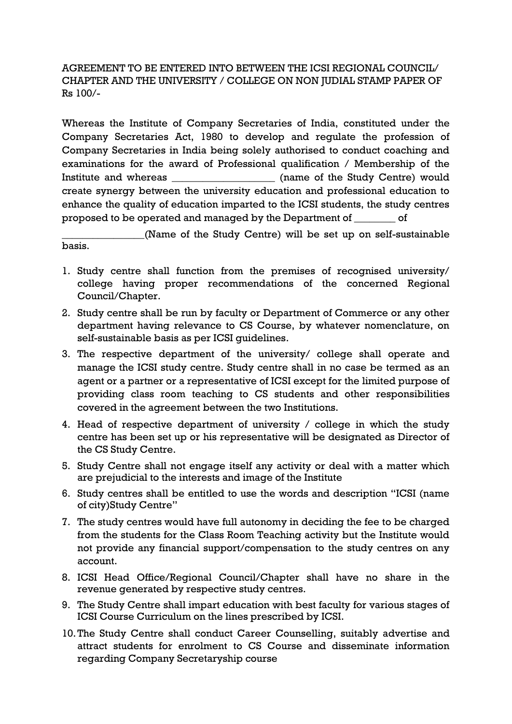AGREEMENT TO BE ENTERED INTO BETWEEN THE ICSI REGIONAL COUNCIL/ CHAPTER AND THE UNIVERSITY / COLLEGE ON NON JUDIAL STAMP PAPER OF Rs 100/-

Whereas the Institute of Company Secretaries of India, constituted under the Company Secretaries Act, 1980 to develop and regulate the profession of Company Secretaries in India being solely authorised to conduct coaching and examinations for the award of Professional qualification / Membership of the Institute and whereas \_\_\_\_\_\_\_\_\_\_\_\_\_\_\_\_\_\_\_\_\_\_ (name of the Study Centre) would create synergy between the university education and professional education to enhance the quality of education imparted to the ICSI students, the study centres proposed to be operated and managed by the Department of \_\_\_\_\_\_\_\_ of

\_\_\_\_\_\_\_\_\_\_\_\_\_\_\_\_(Name of the Study Centre) will be set up on self-sustainable basis.

- 1. Study centre shall function from the premises of recognised university/ college having proper recommendations of the concerned Regional Council/Chapter.
- 2. Study centre shall be run by faculty or Department of Commerce or any other department having relevance to CS Course, by whatever nomenclature, on self-sustainable basis as per ICSI guidelines.
- 3. The respective department of the university/ college shall operate and manage the ICSI study centre. Study centre shall in no case be termed as an agent or a partner or a representative of ICSI except for the limited purpose of providing class room teaching to CS students and other responsibilities covered in the agreement between the two Institutions.
- 4. Head of respective department of university / college in which the study centre has been set up or his representative will be designated as Director of the CS Study Centre.
- 5. Study Centre shall not engage itself any activity or deal with a matter which are prejudicial to the interests and image of the Institute
- 6. Study centres shall be entitled to use the words and description "ICSI (name of city)Study Centre"
- 7. The study centres would have full autonomy in deciding the fee to be charged from the students for the Class Room Teaching activity but the Institute would not provide any financial support/compensation to the study centres on any account.
- 8. ICSI Head Office/Regional Council/Chapter shall have no share in the revenue generated by respective study centres.
- 9. The Study Centre shall impart education with best faculty for various stages of ICSI Course Curriculum on the lines prescribed by ICSI.
- 10.The Study Centre shall conduct Career Counselling, suitably advertise and attract students for enrolment to CS Course and disseminate information regarding Company Secretaryship course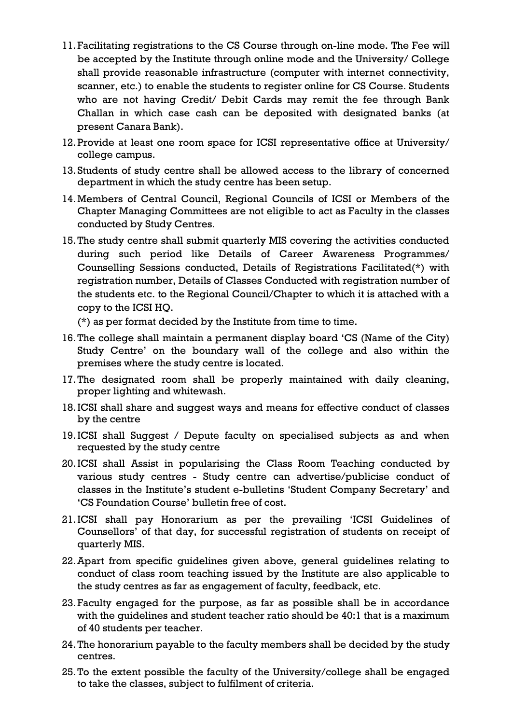- 11.Facilitating registrations to the CS Course through on-line mode. The Fee will be accepted by the Institute through online mode and the University/ College shall provide reasonable infrastructure (computer with internet connectivity, scanner, etc.) to enable the students to register online for CS Course. Students who are not having Credit/ Debit Cards may remit the fee through Bank Challan in which case cash can be deposited with designated banks (at present Canara Bank).
- 12.Provide at least one room space for ICSI representative office at University/ college campus.
- 13.Students of study centre shall be allowed access to the library of concerned department in which the study centre has been setup.
- 14.Members of Central Council, Regional Councils of ICSI or Members of the Chapter Managing Committees are not eligible to act as Faculty in the classes conducted by Study Centres.
- 15.The study centre shall submit quarterly MIS covering the activities conducted during such period like Details of Career Awareness Programmes/ Counselling Sessions conducted, Details of Registrations Facilitated(\*) with registration number, Details of Classes Conducted with registration number of the students etc. to the Regional Council/Chapter to which it is attached with a copy to the ICSI HQ.

(\*) as per format decided by the Institute from time to time.

- 16.The college shall maintain a permanent display board "CS (Name of the City) Study Centre" on the boundary wall of the college and also within the premises where the study centre is located.
- 17.The designated room shall be properly maintained with daily cleaning, proper lighting and whitewash.
- 18.ICSI shall share and suggest ways and means for effective conduct of classes by the centre
- 19.ICSI shall Suggest / Depute faculty on specialised subjects as and when requested by the study centre
- 20.ICSI shall Assist in popularising the Class Room Teaching conducted by various study centres - Study centre can advertise/publicise conduct of classes in the Institute"s student e-bulletins "Student Company Secretary" and "CS Foundation Course" bulletin free of cost.
- 21.ICSI shall pay Honorarium as per the prevailing "ICSI Guidelines of Counsellors" of that day, for successful registration of students on receipt of quarterly MIS.
- 22.Apart from specific guidelines given above, general guidelines relating to conduct of class room teaching issued by the Institute are also applicable to the study centres as far as engagement of faculty, feedback, etc.
- 23.Faculty engaged for the purpose, as far as possible shall be in accordance with the guidelines and student teacher ratio should be 40:1 that is a maximum of 40 students per teacher.
- 24.The honorarium payable to the faculty members shall be decided by the study centres.
- 25.To the extent possible the faculty of the University/college shall be engaged to take the classes, subject to fulfilment of criteria.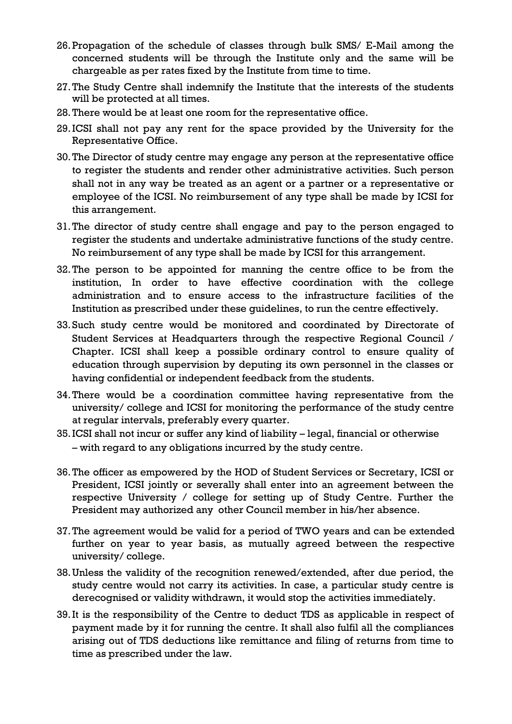- 26.Propagation of the schedule of classes through bulk SMS/ E-Mail among the concerned students will be through the Institute only and the same will be chargeable as per rates fixed by the Institute from time to time.
- 27.The Study Centre shall indemnify the Institute that the interests of the students will be protected at all times.
- 28.There would be at least one room for the representative office.
- 29.ICSI shall not pay any rent for the space provided by the University for the Representative Office.
- 30.The Director of study centre may engage any person at the representative office to register the students and render other administrative activities. Such person shall not in any way be treated as an agent or a partner or a representative or employee of the ICSI. No reimbursement of any type shall be made by ICSI for this arrangement.
- 31.The director of study centre shall engage and pay to the person engaged to register the students and undertake administrative functions of the study centre. No reimbursement of any type shall be made by ICSI for this arrangement.
- 32.The person to be appointed for manning the centre office to be from the institution, In order to have effective coordination with the college administration and to ensure access to the infrastructure facilities of the Institution as prescribed under these guidelines, to run the centre effectively.
- 33.Such study centre would be monitored and coordinated by Directorate of Student Services at Headquarters through the respective Regional Council / Chapter. ICSI shall keep a possible ordinary control to ensure quality of education through supervision by deputing its own personnel in the classes or having confidential or independent feedback from the students.
- 34.There would be a coordination committee having representative from the university/ college and ICSI for monitoring the performance of the study centre at regular intervals, preferably every quarter.
- 35.ICSI shall not incur or suffer any kind of liability legal, financial or otherwise – with regard to any obligations incurred by the study centre.
- 36.The officer as empowered by the HOD of Student Services or Secretary, ICSI or President, ICSI jointly or severally shall enter into an agreement between the respective University / college for setting up of Study Centre. Further the President may authorized any other Council member in his/her absence.
- 37.The agreement would be valid for a period of TWO years and can be extended further on year to year basis, as mutually agreed between the respective university/ college.
- 38.Unless the validity of the recognition renewed/extended, after due period, the study centre would not carry its activities. In case, a particular study centre is derecognised or validity withdrawn, it would stop the activities immediately.
- 39.It is the responsibility of the Centre to deduct TDS as applicable in respect of payment made by it for running the centre. It shall also fulfil all the compliances arising out of TDS deductions like remittance and filing of returns from time to time as prescribed under the law.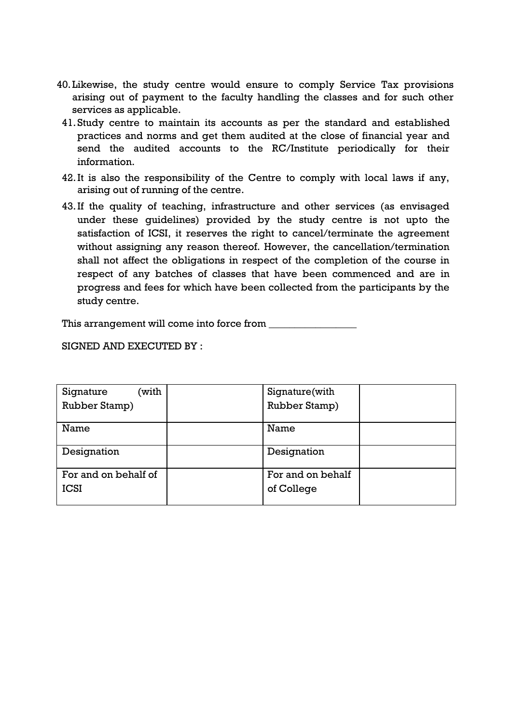- 40.Likewise, the study centre would ensure to comply Service Tax provisions arising out of payment to the faculty handling the classes and for such other services as applicable.
	- 41.Study centre to maintain its accounts as per the standard and established practices and norms and get them audited at the close of financial year and send the audited accounts to the RC/Institute periodically for their information.
	- 42.It is also the responsibility of the Centre to comply with local laws if any, arising out of running of the centre.
	- 43.If the quality of teaching, infrastructure and other services (as envisaged under these guidelines) provided by the study centre is not upto the satisfaction of ICSI, it reserves the right to cancel/terminate the agreement without assigning any reason thereof. However, the cancellation/termination shall not affect the obligations in respect of the completion of the course in respect of any batches of classes that have been commenced and are in progress and fees for which have been collected from the participants by the study centre.

This arrangement will come into force from

SIGNED AND EXECUTED BY :

| (with<br>Signature   | Signature(with    |
|----------------------|-------------------|
| Rubber Stamp)        | Rubber Stamp)     |
| Name                 | Name              |
|                      |                   |
| Designation          | Designation       |
|                      |                   |
| For and on behalf of | For and on behalf |
| <b>ICSI</b>          | of College        |
|                      |                   |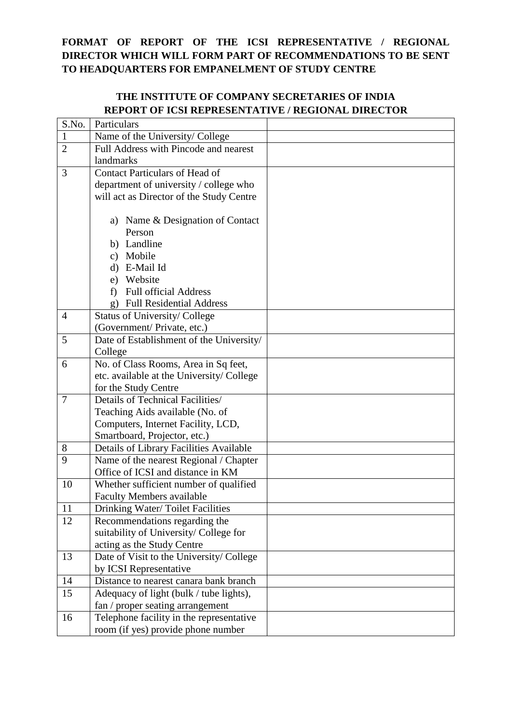# **FORMAT OF REPORT OF THE ICSI REPRESENTATIVE / REGIONAL DIRECTOR WHICH WILL FORM PART OF RECOMMENDATIONS TO BE SENT TO HEADQUARTERS FOR EMPANELMENT OF STUDY CENTRE**

## **THE INSTITUTE OF COMPANY SECRETARIES OF INDIA REPORT OF ICSI REPRESENTATIVE / REGIONAL DIRECTOR**

| Particulars                              |                                                                                                                                                                                                                                                                                                                                                                                                                                                                                                                                                                                                                                                                                                                                                                                                                                                                                                                                                                                                                                                                                                                                                                                                                           |
|------------------------------------------|---------------------------------------------------------------------------------------------------------------------------------------------------------------------------------------------------------------------------------------------------------------------------------------------------------------------------------------------------------------------------------------------------------------------------------------------------------------------------------------------------------------------------------------------------------------------------------------------------------------------------------------------------------------------------------------------------------------------------------------------------------------------------------------------------------------------------------------------------------------------------------------------------------------------------------------------------------------------------------------------------------------------------------------------------------------------------------------------------------------------------------------------------------------------------------------------------------------------------|
|                                          |                                                                                                                                                                                                                                                                                                                                                                                                                                                                                                                                                                                                                                                                                                                                                                                                                                                                                                                                                                                                                                                                                                                                                                                                                           |
| Full Address with Pincode and nearest    |                                                                                                                                                                                                                                                                                                                                                                                                                                                                                                                                                                                                                                                                                                                                                                                                                                                                                                                                                                                                                                                                                                                                                                                                                           |
| landmarks                                |                                                                                                                                                                                                                                                                                                                                                                                                                                                                                                                                                                                                                                                                                                                                                                                                                                                                                                                                                                                                                                                                                                                                                                                                                           |
| <b>Contact Particulars of Head of</b>    |                                                                                                                                                                                                                                                                                                                                                                                                                                                                                                                                                                                                                                                                                                                                                                                                                                                                                                                                                                                                                                                                                                                                                                                                                           |
| department of university / college who   |                                                                                                                                                                                                                                                                                                                                                                                                                                                                                                                                                                                                                                                                                                                                                                                                                                                                                                                                                                                                                                                                                                                                                                                                                           |
| will act as Director of the Study Centre |                                                                                                                                                                                                                                                                                                                                                                                                                                                                                                                                                                                                                                                                                                                                                                                                                                                                                                                                                                                                                                                                                                                                                                                                                           |
|                                          |                                                                                                                                                                                                                                                                                                                                                                                                                                                                                                                                                                                                                                                                                                                                                                                                                                                                                                                                                                                                                                                                                                                                                                                                                           |
|                                          |                                                                                                                                                                                                                                                                                                                                                                                                                                                                                                                                                                                                                                                                                                                                                                                                                                                                                                                                                                                                                                                                                                                                                                                                                           |
|                                          |                                                                                                                                                                                                                                                                                                                                                                                                                                                                                                                                                                                                                                                                                                                                                                                                                                                                                                                                                                                                                                                                                                                                                                                                                           |
|                                          |                                                                                                                                                                                                                                                                                                                                                                                                                                                                                                                                                                                                                                                                                                                                                                                                                                                                                                                                                                                                                                                                                                                                                                                                                           |
|                                          |                                                                                                                                                                                                                                                                                                                                                                                                                                                                                                                                                                                                                                                                                                                                                                                                                                                                                                                                                                                                                                                                                                                                                                                                                           |
|                                          |                                                                                                                                                                                                                                                                                                                                                                                                                                                                                                                                                                                                                                                                                                                                                                                                                                                                                                                                                                                                                                                                                                                                                                                                                           |
|                                          |                                                                                                                                                                                                                                                                                                                                                                                                                                                                                                                                                                                                                                                                                                                                                                                                                                                                                                                                                                                                                                                                                                                                                                                                                           |
|                                          |                                                                                                                                                                                                                                                                                                                                                                                                                                                                                                                                                                                                                                                                                                                                                                                                                                                                                                                                                                                                                                                                                                                                                                                                                           |
|                                          |                                                                                                                                                                                                                                                                                                                                                                                                                                                                                                                                                                                                                                                                                                                                                                                                                                                                                                                                                                                                                                                                                                                                                                                                                           |
|                                          |                                                                                                                                                                                                                                                                                                                                                                                                                                                                                                                                                                                                                                                                                                                                                                                                                                                                                                                                                                                                                                                                                                                                                                                                                           |
|                                          |                                                                                                                                                                                                                                                                                                                                                                                                                                                                                                                                                                                                                                                                                                                                                                                                                                                                                                                                                                                                                                                                                                                                                                                                                           |
|                                          |                                                                                                                                                                                                                                                                                                                                                                                                                                                                                                                                                                                                                                                                                                                                                                                                                                                                                                                                                                                                                                                                                                                                                                                                                           |
|                                          |                                                                                                                                                                                                                                                                                                                                                                                                                                                                                                                                                                                                                                                                                                                                                                                                                                                                                                                                                                                                                                                                                                                                                                                                                           |
|                                          |                                                                                                                                                                                                                                                                                                                                                                                                                                                                                                                                                                                                                                                                                                                                                                                                                                                                                                                                                                                                                                                                                                                                                                                                                           |
|                                          |                                                                                                                                                                                                                                                                                                                                                                                                                                                                                                                                                                                                                                                                                                                                                                                                                                                                                                                                                                                                                                                                                                                                                                                                                           |
|                                          |                                                                                                                                                                                                                                                                                                                                                                                                                                                                                                                                                                                                                                                                                                                                                                                                                                                                                                                                                                                                                                                                                                                                                                                                                           |
|                                          |                                                                                                                                                                                                                                                                                                                                                                                                                                                                                                                                                                                                                                                                                                                                                                                                                                                                                                                                                                                                                                                                                                                                                                                                                           |
|                                          |                                                                                                                                                                                                                                                                                                                                                                                                                                                                                                                                                                                                                                                                                                                                                                                                                                                                                                                                                                                                                                                                                                                                                                                                                           |
|                                          |                                                                                                                                                                                                                                                                                                                                                                                                                                                                                                                                                                                                                                                                                                                                                                                                                                                                                                                                                                                                                                                                                                                                                                                                                           |
|                                          |                                                                                                                                                                                                                                                                                                                                                                                                                                                                                                                                                                                                                                                                                                                                                                                                                                                                                                                                                                                                                                                                                                                                                                                                                           |
|                                          |                                                                                                                                                                                                                                                                                                                                                                                                                                                                                                                                                                                                                                                                                                                                                                                                                                                                                                                                                                                                                                                                                                                                                                                                                           |
|                                          |                                                                                                                                                                                                                                                                                                                                                                                                                                                                                                                                                                                                                                                                                                                                                                                                                                                                                                                                                                                                                                                                                                                                                                                                                           |
|                                          |                                                                                                                                                                                                                                                                                                                                                                                                                                                                                                                                                                                                                                                                                                                                                                                                                                                                                                                                                                                                                                                                                                                                                                                                                           |
|                                          |                                                                                                                                                                                                                                                                                                                                                                                                                                                                                                                                                                                                                                                                                                                                                                                                                                                                                                                                                                                                                                                                                                                                                                                                                           |
|                                          |                                                                                                                                                                                                                                                                                                                                                                                                                                                                                                                                                                                                                                                                                                                                                                                                                                                                                                                                                                                                                                                                                                                                                                                                                           |
|                                          |                                                                                                                                                                                                                                                                                                                                                                                                                                                                                                                                                                                                                                                                                                                                                                                                                                                                                                                                                                                                                                                                                                                                                                                                                           |
|                                          |                                                                                                                                                                                                                                                                                                                                                                                                                                                                                                                                                                                                                                                                                                                                                                                                                                                                                                                                                                                                                                                                                                                                                                                                                           |
|                                          |                                                                                                                                                                                                                                                                                                                                                                                                                                                                                                                                                                                                                                                                                                                                                                                                                                                                                                                                                                                                                                                                                                                                                                                                                           |
|                                          |                                                                                                                                                                                                                                                                                                                                                                                                                                                                                                                                                                                                                                                                                                                                                                                                                                                                                                                                                                                                                                                                                                                                                                                                                           |
|                                          |                                                                                                                                                                                                                                                                                                                                                                                                                                                                                                                                                                                                                                                                                                                                                                                                                                                                                                                                                                                                                                                                                                                                                                                                                           |
|                                          |                                                                                                                                                                                                                                                                                                                                                                                                                                                                                                                                                                                                                                                                                                                                                                                                                                                                                                                                                                                                                                                                                                                                                                                                                           |
|                                          |                                                                                                                                                                                                                                                                                                                                                                                                                                                                                                                                                                                                                                                                                                                                                                                                                                                                                                                                                                                                                                                                                                                                                                                                                           |
|                                          |                                                                                                                                                                                                                                                                                                                                                                                                                                                                                                                                                                                                                                                                                                                                                                                                                                                                                                                                                                                                                                                                                                                                                                                                                           |
|                                          |                                                                                                                                                                                                                                                                                                                                                                                                                                                                                                                                                                                                                                                                                                                                                                                                                                                                                                                                                                                                                                                                                                                                                                                                                           |
| room (if yes) provide phone number       |                                                                                                                                                                                                                                                                                                                                                                                                                                                                                                                                                                                                                                                                                                                                                                                                                                                                                                                                                                                                                                                                                                                                                                                                                           |
|                                          | Name of the University/ College<br>a) Name & Designation of Contact<br>Person<br>b) Landline<br>c) Mobile<br>d) E-Mail Id<br>e) Website<br><b>Full official Address</b><br>f<br><b>Full Residential Address</b><br>$\mathfrak{g}$ )<br><b>Status of University/ College</b><br>(Government/ Private, etc.)<br>Date of Establishment of the University/<br>College<br>No. of Class Rooms, Area in Sq feet,<br>etc. available at the University/College<br>for the Study Centre<br>Details of Technical Facilities/<br>Teaching Aids available (No. of<br>Computers, Internet Facility, LCD,<br>Smartboard, Projector, etc.)<br>Details of Library Facilities Available<br>Name of the nearest Regional / Chapter<br>Office of ICSI and distance in KM<br>Whether sufficient number of qualified<br><b>Faculty Members available</b><br>Drinking Water/Toilet Facilities<br>Recommendations regarding the<br>suitability of University/ College for<br>acting as the Study Centre<br>Date of Visit to the University/College<br>by ICSI Representative<br>Distance to nearest canara bank branch<br>Adequacy of light (bulk / tube lights),<br>fan / proper seating arrangement<br>Telephone facility in the representative |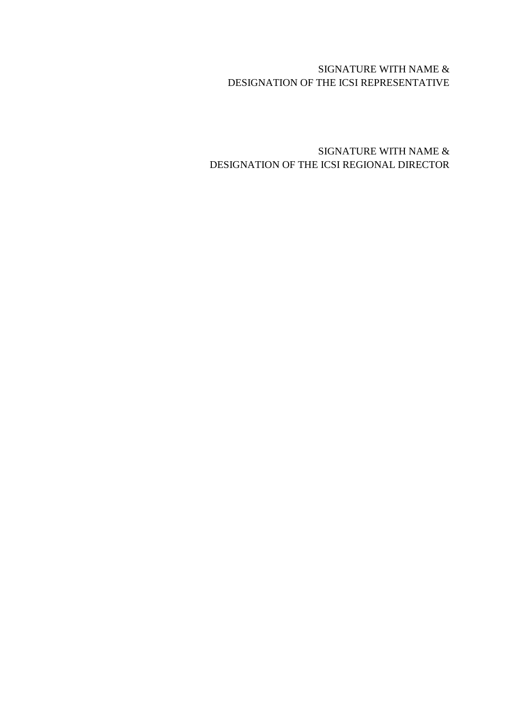## SIGNATURE WITH NAME & DESIGNATION OF THE ICSI REPRESENTATIVE

## SIGNATURE WITH NAME & DESIGNATION OF THE ICSI REGIONAL DIRECTOR